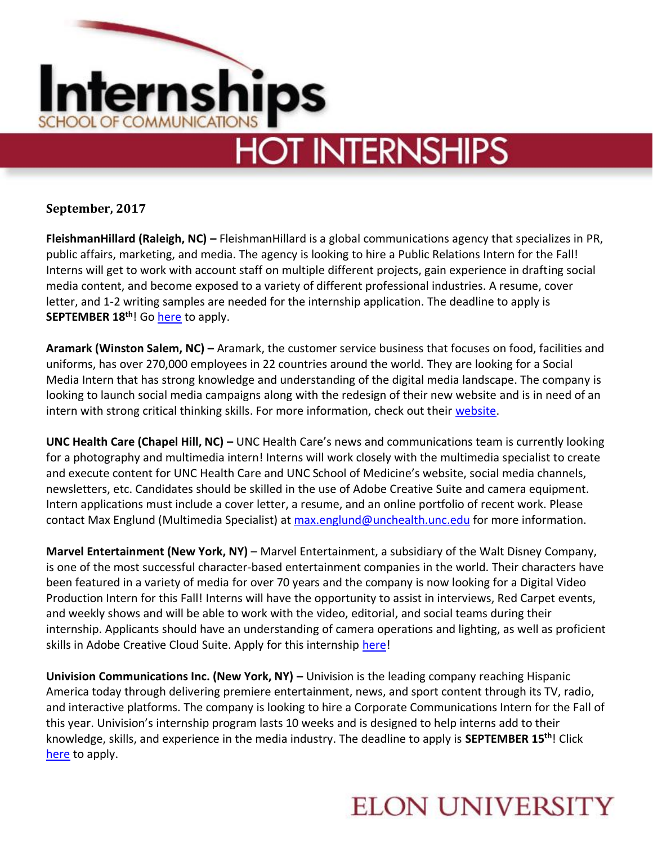

**September, 2017**

**FleishmanHillard (Raleigh, NC) –** FleishmanHillard is a global communications agency that specializes in PR, public affairs, marketing, and media. The agency is looking to hire a Public Relations Intern for the Fall! Interns will get to work with account staff on multiple different projects, gain experience in drafting social media content, and become exposed to a variety of different professional industries. A resume, cover letter, and 1-2 writing samples are needed for the internship application. The deadline to apply is **SEPTEMBER 18th**! Go [here](http://fleishmanhillard.com/job/public-relations-intern-fall-raleigh/) to apply.

**Aramark (Winston Salem, NC) –** Aramark, the customer service business that focuses on food, facilities and uniforms, has over 270,000 employees in 22 countries around the world. They are looking for a Social Media Intern that has strong knowledge and understanding of the digital media landscape. The company is looking to launch social media campaigns along with the redesign of their new website and is in need of an intern with strong critical thinking skills. For more information, check out their [website.](http://careers.aramark.com/ShowJob/Id/53488/Student%20Worker%20%20%20Social%20Media%20Intern%20%20%20Wake%20Forest%20Univ.)

**UNC Health Care (Chapel Hill, NC) –** UNC Health Care's news and communications team is currently looking for a photography and multimedia intern! Interns will work closely with the multimedia specialist to create and execute content for UNC Health Care and UNC School of Medicine's website, social media channels, newsletters, etc. Candidates should be skilled in the use of Adobe Creative Suite and camera equipment. Intern applications must include a cover letter, a resume, and an online portfolio of recent work. Please contact Max Englund (Multimedia Specialist) at [max.englund@unchealth.unc.edu](mailto:max.englund@unchealth.unc.edu) for more information.

**Marvel Entertainment (New York, NY)** – Marvel Entertainment, a subsidiary of the Walt Disney Company, is one of the most successful character-based entertainment companies in the world. Their characters have been featured in a variety of media for over 70 years and the company is now looking for a Digital Video Production Intern for this Fall! Interns will have the opportunity to assist in interviews, Red Carpet events, and weekly shows and will be able to work with the video, editorial, and social teams during their internship. Applicants should have an understanding of camera operations and lighting, as well as proficient skills in Adobe Creative Cloud Suite. Apply for this internship [here!](https://jobs.disneycareers.com/job/new-york/digital-video-production-intern-fall-2017/391/5010420)

**Univision Communications Inc. (New York, NY) –** Univision is the leading company reaching Hispanic America today through delivering premiere entertainment, news, and sport content through its TV, radio, and interactive platforms. The company is looking to hire a Corporate Communications Intern for the Fall of this year. Univision's internship program lasts 10 weeks and is designed to help interns add to their knowledge, skills, and experience in the media industry. The deadline to apply is **SEPTEMBER 15th**! Click [here](https://univision.csod.com/ats/careersite/JobDetails.aspx?id=1944&site=2) to apply.

## **ELON UNIVERSITY**